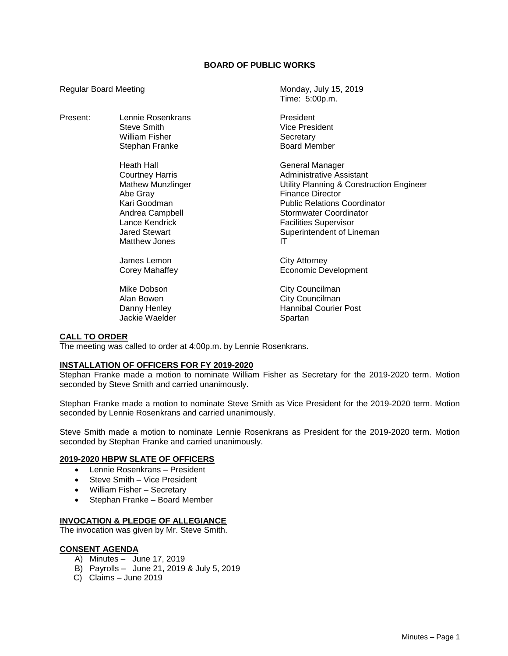# **BOARD OF PUBLIC WORKS**

Time: 5:00p.m.

Regular Board Meeting Monday, July 15, 2019

| Present: | Lennie Rosenkrans<br>Steve Smith<br>William Fisher<br>Stephan Franke                                                                                                | President<br><b>Vice President</b><br>Secretary<br><b>Board Member</b>                                                                                                                                                                                        |
|----------|---------------------------------------------------------------------------------------------------------------------------------------------------------------------|---------------------------------------------------------------------------------------------------------------------------------------------------------------------------------------------------------------------------------------------------------------|
|          | Heath Hall<br>Courtney Harris<br><b>Mathew Munzlinger</b><br>Abe Gray<br>Kari Goodman<br>Andrea Campbell<br>Lance Kendrick<br><b>Jared Stewart</b><br>Matthew Jones | General Manager<br>Administrative Assistant<br>Utility Planning & Construction Engineer<br><b>Finance Director</b><br><b>Public Relations Coordinator</b><br><b>Stormwater Coordinator</b><br><b>Facilities Supervisor</b><br>Superintendent of Lineman<br>ΙT |
|          | James Lemon<br>Corey Mahaffey<br>Mike Dobson<br>Alan Bowen<br>Danny Henley                                                                                          | City Attorney<br><b>Economic Development</b><br>City Councilman<br>City Councilman<br><b>Hannibal Courier Post</b>                                                                                                                                            |
|          | Jackie Waelder                                                                                                                                                      | Spartan                                                                                                                                                                                                                                                       |

# **CALL TO ORDER**

The meeting was called to order at 4:00p.m. by Lennie Rosenkrans.

#### **INSTALLATION OF OFFICERS FOR FY 2019-2020**

Stephan Franke made a motion to nominate William Fisher as Secretary for the 2019-2020 term. Motion seconded by Steve Smith and carried unanimously.

Stephan Franke made a motion to nominate Steve Smith as Vice President for the 2019-2020 term. Motion seconded by Lennie Rosenkrans and carried unanimously.

Steve Smith made a motion to nominate Lennie Rosenkrans as President for the 2019-2020 term. Motion seconded by Stephan Franke and carried unanimously.

#### **2019-2020 HBPW SLATE OF OFFICERS**

- Lennie Rosenkrans President
- Steve Smith Vice President
- William Fisher Secretary
- Stephan Franke Board Member

# **INVOCATION & PLEDGE OF ALLEGIANCE**

The invocation was given by Mr. Steve Smith.

# **CONSENT AGENDA**

- A) Minutes June 17, 2019
- B) Payrolls June 21, 2019 & July 5, 2019
- C) Claims June 2019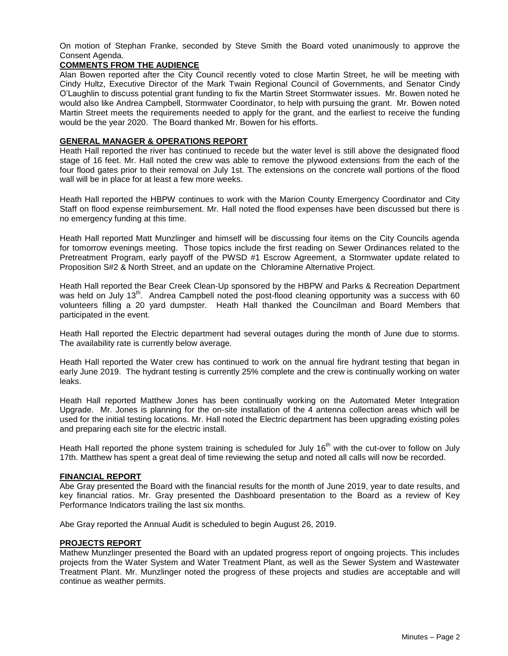On motion of Stephan Franke, seconded by Steve Smith the Board voted unanimously to approve the Consent Agenda.

# **COMMENTS FROM THE AUDIENCE**

Alan Bowen reported after the City Council recently voted to close Martin Street, he will be meeting with Cindy Hultz, Executive Director of the Mark Twain Regional Council of Governments, and Senator Cindy O'Laughlin to discuss potential grant funding to fix the Martin Street Stormwater issues. Mr. Bowen noted he would also like Andrea Campbell, Stormwater Coordinator, to help with pursuing the grant. Mr. Bowen noted Martin Street meets the requirements needed to apply for the grant, and the earliest to receive the funding would be the year 2020. The Board thanked Mr. Bowen for his efforts.

# **GENERAL MANAGER & OPERATIONS REPORT**

Heath Hall reported the river has continued to recede but the water level is still above the designated flood stage of 16 feet. Mr. Hall noted the crew was able to remove the plywood extensions from the each of the four flood gates prior to their removal on July 1st. The extensions on the concrete wall portions of the flood wall will be in place for at least a few more weeks.

Heath Hall reported the HBPW continues to work with the Marion County Emergency Coordinator and City Staff on flood expense reimbursement. Mr. Hall noted the flood expenses have been discussed but there is no emergency funding at this time.

Heath Hall reported Matt Munzlinger and himself will be discussing four items on the City Councils agenda for tomorrow evenings meeting. Those topics include the first reading on Sewer Ordinances related to the Pretreatment Program, early payoff of the PWSD #1 Escrow Agreement, a Stormwater update related to Proposition S#2 & North Street, and an update on the Chloramine Alternative Project.

Heath Hall reported the Bear Creek Clean-Up sponsored by the HBPW and Parks & Recreation Department was held on July 13<sup>th</sup>. Andrea Campbell noted the post-flood cleaning opportunity was a success with 60 volunteers filling a 20 yard dumpster. Heath Hall thanked the Councilman and Board Members that participated in the event.

Heath Hall reported the Electric department had several outages during the month of June due to storms. The availability rate is currently below average.

Heath Hall reported the Water crew has continued to work on the annual fire hydrant testing that began in early June 2019. The hydrant testing is currently 25% complete and the crew is continually working on water leaks.

Heath Hall reported Matthew Jones has been continually working on the Automated Meter Integration Upgrade. Mr. Jones is planning for the on-site installation of the 4 antenna collection areas which will be used for the initial testing locations. Mr. Hall noted the Electric department has been upgrading existing poles and preparing each site for the electric install.

Heath Hall reported the phone system training is scheduled for July 16<sup>th</sup> with the cut-over to follow on July 17th. Matthew has spent a great deal of time reviewing the setup and noted all calls will now be recorded.

### **FINANCIAL REPORT**

Abe Gray presented the Board with the financial results for the month of June 2019, year to date results, and key financial ratios. Mr. Gray presented the Dashboard presentation to the Board as a review of Key Performance Indicators trailing the last six months.

Abe Gray reported the Annual Audit is scheduled to begin August 26, 2019.

# **PROJECTS REPORT**

Mathew Munzlinger presented the Board with an updated progress report of ongoing projects. This includes projects from the Water System and Water Treatment Plant, as well as the Sewer System and Wastewater Treatment Plant. Mr. Munzlinger noted the progress of these projects and studies are acceptable and will continue as weather permits.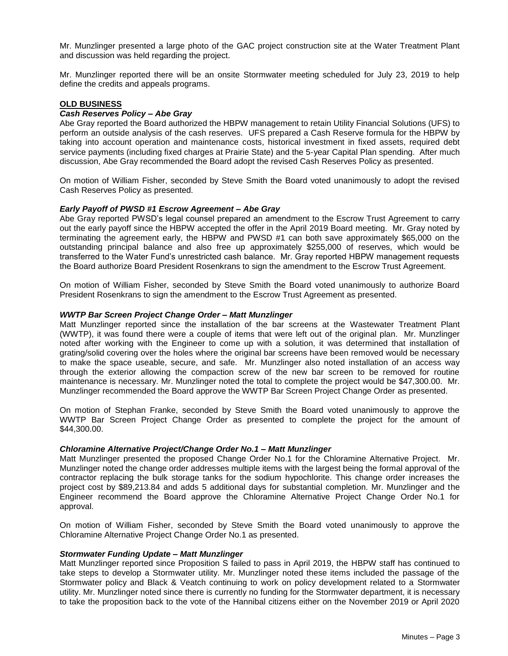Mr. Munzlinger presented a large photo of the GAC project construction site at the Water Treatment Plant and discussion was held regarding the project.

Mr. Munzlinger reported there will be an onsite Stormwater meeting scheduled for July 23, 2019 to help define the credits and appeals programs.

# **OLD BUSINESS**

# *Cash Reserves Policy – Abe Gray*

Abe Gray reported the Board authorized the HBPW management to retain Utility Financial Solutions (UFS) to perform an outside analysis of the cash reserves. UFS prepared a Cash Reserve formula for the HBPW by taking into account operation and maintenance costs, historical investment in fixed assets, required debt service payments (including fixed charges at Prairie State) and the 5‐year Capital Plan spending. After much discussion, Abe Gray recommended the Board adopt the revised Cash Reserves Policy as presented.

On motion of William Fisher, seconded by Steve Smith the Board voted unanimously to adopt the revised Cash Reserves Policy as presented.

# *Early Payoff of PWSD #1 Escrow Agreement – Abe Gray*

Abe Gray reported PWSD's legal counsel prepared an amendment to the Escrow Trust Agreement to carry out the early payoff since the HBPW accepted the offer in the April 2019 Board meeting. Mr. Gray noted by terminating the agreement early, the HBPW and PWSD #1 can both save approximately \$65,000 on the outstanding principal balance and also free up approximately \$255,000 of reserves, which would be transferred to the Water Fund's unrestricted cash balance. Mr. Gray reported HBPW management requests the Board authorize Board President Rosenkrans to sign the amendment to the Escrow Trust Agreement.

On motion of William Fisher, seconded by Steve Smith the Board voted unanimously to authorize Board President Rosenkrans to sign the amendment to the Escrow Trust Agreement as presented.

#### *WWTP Bar Screen Project Change Order – Matt Munzlinger*

Matt Munzlinger reported since the installation of the bar screens at the Wastewater Treatment Plant (WWTP), it was found there were a couple of items that were left out of the original plan. Mr. Munzlinger noted after working with the Engineer to come up with a solution, it was determined that installation of grating/solid covering over the holes where the original bar screens have been removed would be necessary to make the space useable, secure, and safe. Mr. Munzlinger also noted installation of an access way through the exterior allowing the compaction screw of the new bar screen to be removed for routine maintenance is necessary. Mr. Munzlinger noted the total to complete the project would be \$47,300.00. Mr. Munzlinger recommended the Board approve the WWTP Bar Screen Project Change Order as presented.

On motion of Stephan Franke, seconded by Steve Smith the Board voted unanimously to approve the WWTP Bar Screen Project Change Order as presented to complete the project for the amount of \$44,300.00.

# *Chloramine Alternative Project/Change Order No.1 – Matt Munzlinger*

Matt Munzlinger presented the proposed Change Order No.1 for the Chloramine Alternative Project. Mr. Munzlinger noted the change order addresses multiple items with the largest being the formal approval of the contractor replacing the bulk storage tanks for the sodium hypochlorite. This change order increases the project cost by \$89,213.84 and adds 5 additional days for substantial completion. Mr. Munzlinger and the Engineer recommend the Board approve the Chloramine Alternative Project Change Order No.1 for approval.

On motion of William Fisher, seconded by Steve Smith the Board voted unanimously to approve the Chloramine Alternative Project Change Order No.1 as presented.

#### *Stormwater Funding Update – Matt Munzlinger*

Matt Munzlinger reported since Proposition S failed to pass in April 2019, the HBPW staff has continued to take steps to develop a Stormwater utility. Mr. Munzlinger noted these items included the passage of the Stormwater policy and Black & Veatch continuing to work on policy development related to a Stormwater utility. Mr. Munzlinger noted since there is currently no funding for the Stormwater department, it is necessary to take the proposition back to the vote of the Hannibal citizens either on the November 2019 or April 2020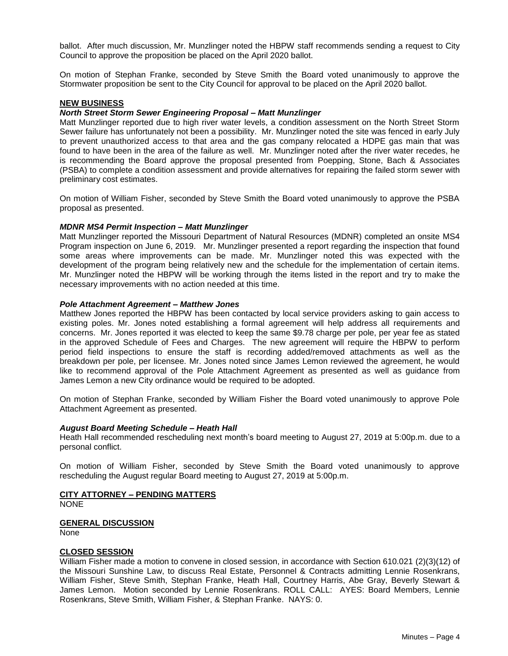ballot. After much discussion, Mr. Munzlinger noted the HBPW staff recommends sending a request to City Council to approve the proposition be placed on the April 2020 ballot.

On motion of Stephan Franke, seconded by Steve Smith the Board voted unanimously to approve the Stormwater proposition be sent to the City Council for approval to be placed on the April 2020 ballot.

# **NEW BUSINESS**

# *North Street Storm Sewer Engineering Proposal – Matt Munzlinger*

Matt Munzlinger reported due to high river water levels, a condition assessment on the North Street Storm Sewer failure has unfortunately not been a possibility. Mr. Munzlinger noted the site was fenced in early July to prevent unauthorized access to that area and the gas company relocated a HDPE gas main that was found to have been in the area of the failure as well. Mr. Munzlinger noted after the river water recedes, he is recommending the Board approve the proposal presented from Poepping, Stone, Bach & Associates (PSBA) to complete a condition assessment and provide alternatives for repairing the failed storm sewer with preliminary cost estimates.

On motion of William Fisher, seconded by Steve Smith the Board voted unanimously to approve the PSBA proposal as presented.

#### *MDNR MS4 Permit Inspection – Matt Munzlinger*

Matt Munzlinger reported the Missouri Department of Natural Resources (MDNR) completed an onsite MS4 Program inspection on June 6, 2019. Mr. Munzlinger presented a report regarding the inspection that found some areas where improvements can be made. Mr. Munzlinger noted this was expected with the development of the program being relatively new and the schedule for the implementation of certain items. Mr. Munzlinger noted the HBPW will be working through the items listed in the report and try to make the necessary improvements with no action needed at this time.

#### *Pole Attachment Agreement – Matthew Jones*

Matthew Jones reported the HBPW has been contacted by local service providers asking to gain access to existing poles. Mr. Jones noted establishing a formal agreement will help address all requirements and concerns. Mr. Jones reported it was elected to keep the same \$9.78 charge per pole, per year fee as stated in the approved Schedule of Fees and Charges. The new agreement will require the HBPW to perform period field inspections to ensure the staff is recording added/removed attachments as well as the breakdown per pole, per licensee. Mr. Jones noted since James Lemon reviewed the agreement, he would like to recommend approval of the Pole Attachment Agreement as presented as well as guidance from James Lemon a new City ordinance would be required to be adopted.

On motion of Stephan Franke, seconded by William Fisher the Board voted unanimously to approve Pole Attachment Agreement as presented.

# *August Board Meeting Schedule – Heath Hall*

Heath Hall recommended rescheduling next month's board meeting to August 27, 2019 at 5:00p.m. due to a personal conflict.

On motion of William Fisher, seconded by Steve Smith the Board voted unanimously to approve rescheduling the August regular Board meeting to August 27, 2019 at 5:00p.m.

# **CITY ATTORNEY – PENDING MATTERS**

**NONE** 

#### **GENERAL DISCUSSION**

None

#### **CLOSED SESSION**

William Fisher made a motion to convene in closed session, in accordance with Section 610.021 (2)(3)(12) of the Missouri Sunshine Law, to discuss Real Estate, Personnel & Contracts admitting Lennie Rosenkrans, William Fisher, Steve Smith, Stephan Franke, Heath Hall, Courtney Harris, Abe Gray, Beverly Stewart & James Lemon. Motion seconded by Lennie Rosenkrans. ROLL CALL: AYES: Board Members, Lennie Rosenkrans, Steve Smith, William Fisher, & Stephan Franke. NAYS: 0.